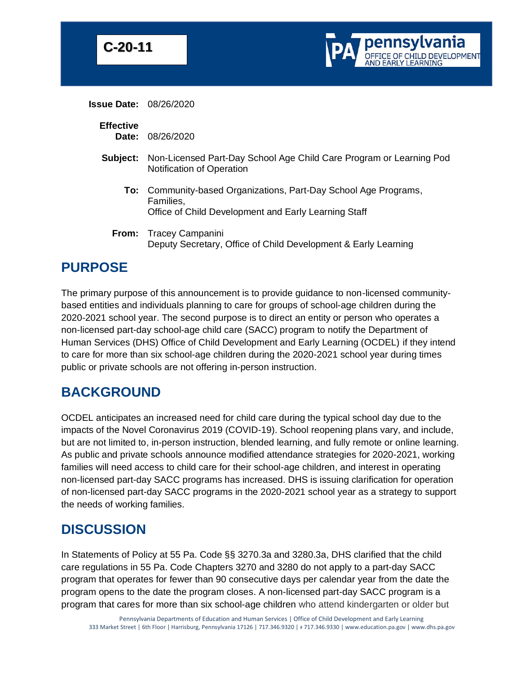



**Issue Date:** 08/26/2020

### **Effective**

**Date:** 08/26/2020

- **Subject:** Non-Licensed Part-Day School Age Child Care Program or Learning Pod Notification of Operation
	- **To:** Community-based Organizations, Part-Day School Age Programs, Families, Office of Child Development and Early Learning Staff
	- **From:** Tracey Campanini Deputy Secretary, Office of Child Development & Early Learning

## **PURPOSE**

The primary purpose of this announcement is to provide guidance to non-licensed communitybased entities and individuals planning to care for groups of school-age children during the 2020-2021 school year. The second purpose is to direct an entity or person who operates a non-licensed part-day school-age child care (SACC) program to notify the Department of Human Services (DHS) Office of Child Development and Early Learning (OCDEL) if they intend to care for more than six school-age children during the 2020-2021 school year during times public or private schools are not offering in-person instruction.

## **BACKGROUND**

OCDEL anticipates an increased need for child care during the typical school day due to the impacts of the Novel Coronavirus 2019 (COVID-19). School reopening plans vary, and include, but are not limited to, in-person instruction, blended learning, and fully remote or online learning. As public and private schools announce modified attendance strategies for 2020-2021, working families will need access to child care for their school-age children, and interest in operating non-licensed part-day SACC programs has increased. DHS is issuing clarification for operation of non-licensed part-day SACC programs in the 2020-2021 school year as a strategy to support the needs of working families.

## **DISCUSSION**

In Statements of Policy at 55 Pa. Code §§ 3270.3a and 3280.3a, DHS clarified that the child care regulations in 55 Pa. Code Chapters 3270 and 3280 do not apply to a part-day SACC program that operates for fewer than 90 consecutive days per calendar year from the date the program opens to the date the program closes. A non-licensed part-day SACC program is a program that cares for more than six school-age children who attend kindergarten or older but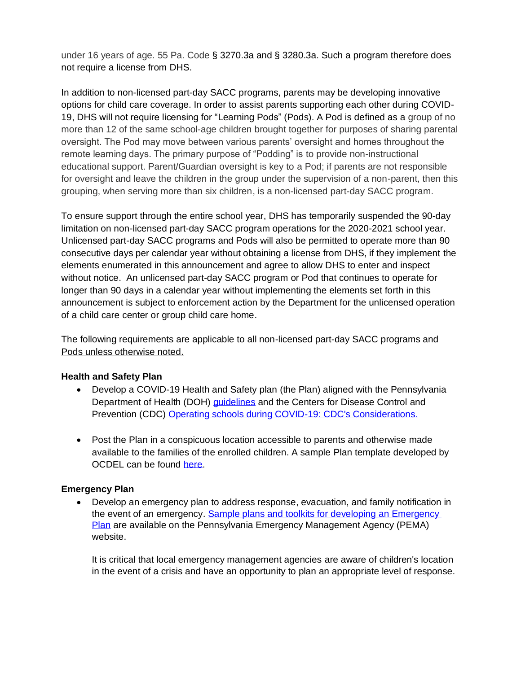under 16 years of age. 55 Pa. Code § 3270.3a and § 3280.3a. Such a program therefore does not require a license from DHS.

In addition to non-licensed part-day SACC programs, parents may be developing innovative options for child care coverage. In order to assist parents supporting each other during COVID-19, DHS will not require licensing for "Learning Pods" (Pods). A Pod is defined as a group of no more than 12 of the same school-age children brought together for purposes of sharing parental oversight. The Pod may move between various parents' oversight and homes throughout the remote learning days. The primary purpose of "Podding" is to provide non-instructional educational support. Parent/Guardian oversight is key to a Pod; if parents are not responsible for oversight and leave the children in the group under the supervision of a non-parent, then this grouping, when serving more than six children, is a non-licensed part-day SACC program.

To ensure support through the entire school year, DHS has temporarily suspended the 90-day limitation on non-licensed part-day SACC program operations for the 2020-2021 school year. Unlicensed part-day SACC programs and Pods will also be permitted to operate more than 90 consecutive days per calendar year without obtaining a license from DHS, if they implement the elements enumerated in this announcement and agree to allow DHS to enter and inspect without notice. An unlicensed part-day SACC program or Pod that continues to operate for longer than 90 days in a calendar year without implementing the elements set forth in this announcement is subject to enforcement action by the Department for the unlicensed operation of a child care center or group child care home.

The following requirements are applicable to all non-licensed part-day SACC programs and Pods unless otherwise noted.

### **Health and Safety Plan**

- Develop a COVID-19 Health and Safety plan (the Plan) aligned with the Pennsylvania Department of Health (DOH) [guidelines](https://www.health.pa.gov/topics/disease/coronavirus/Pages/Coronavirus.aspx) and the Centers for Disease Control and Prevention (CDC) [Operating schools during COVID-19: CDC's Considerations.](https://www.cdc.gov/coronavirus/2019-ncov/community/schools-childcare/guidance-for-schools.html)
- Post the Plan in a conspicuous location accessible to parents and otherwise made available to the families of the enrolled children. A sample Plan template developed by OCDEL can be found [here.](https://files.constantcontact.com/3e3d36fe201/bb183926-9d6d-43a7-9ed8-cf4b21318f90.pdf)

#### **Emergency Plan**

• Develop an emergency plan to address response, evacuation, and family notification in the event of an emergency. [Sample plans and toolkits for developing](https://www.pema.pa.gov/Preparedness/Planning/Community-Planning/School-Safety/Pages/default.aspx) an Emergency [Plan](https://www.pema.pa.gov/Preparedness/Planning/Community-Planning/School-Safety/Pages/default.aspx) are available on the Pennsylvania Emergency Management Agency (PEMA) website.

It is critical that local emergency management agencies are aware of children's location in the event of a crisis and have an opportunity to plan an appropriate level of response.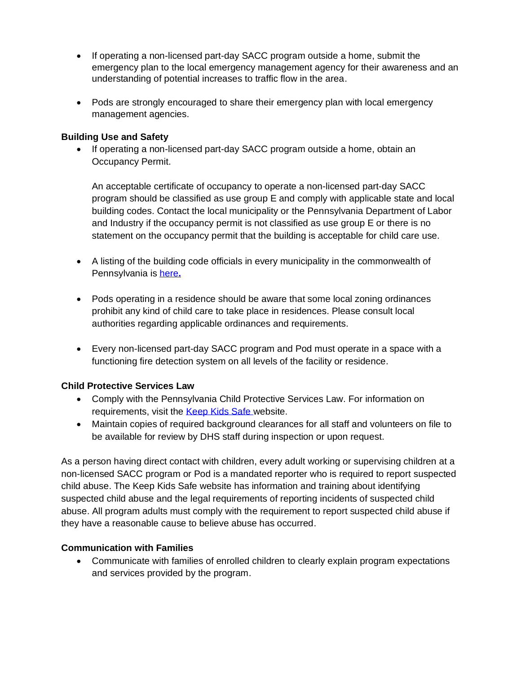- If operating a non-licensed part-day SACC program outside a home, submit the emergency plan to the local emergency management agency for their awareness and an understanding of potential increases to traffic flow in the area.
- Pods are strongly encouraged to share their emergency plan with local emergency management agencies.

#### **Building Use and Safety**

• If operating a non-licensed part-day SACC program outside a home, obtain an Occupancy Permit.

An acceptable certificate of occupancy to operate a non-licensed part-day SACC program should be classified as use group E and comply with applicable state and local building codes. Contact the local municipality or the Pennsylvania Department of Labor and Industry if the occupancy permit is not classified as use group E or there is no statement on the occupancy permit that the building is acceptable for child care use.

- A listing of the building code officials in every municipality in the commonwealth of Pennsylvania is [here](https://www.dli.pa.gov/Individuals/Labor-Management-Relations/bois/Documents/UCCMUN.HTM)**.**
- Pods operating in a residence should be aware that some local zoning ordinances prohibit any kind of child care to take place in residences. Please consult local authorities regarding applicable ordinances and requirements.
- Every non-licensed part-day SACC program and Pod must operate in a space with a functioning fire detection system on all levels of the facility or residence.

#### **Child Protective Services Law**

- Comply with the Pennsylvania Child Protective Services Law. For information on requirements, visit the [Keep Kids Safe w](http://www.keepkidssafe.pa.gov/)ebsite.
- Maintain copies of required background clearances for all staff and volunteers on file to be available for review by DHS staff during inspection or upon request.

As a person having direct contact with children, every adult working or supervising children at a non-licensed SACC program or Pod is a mandated reporter who is required to report suspected child abuse. The Keep Kids Safe website has information and training about identifying suspected child abuse and the legal requirements of reporting incidents of suspected child abuse. All program adults must comply with the requirement to report suspected child abuse if they have a reasonable cause to believe abuse has occurred.

#### **Communication with Families**

• Communicate with families of enrolled children to clearly explain program expectations and services provided by the program.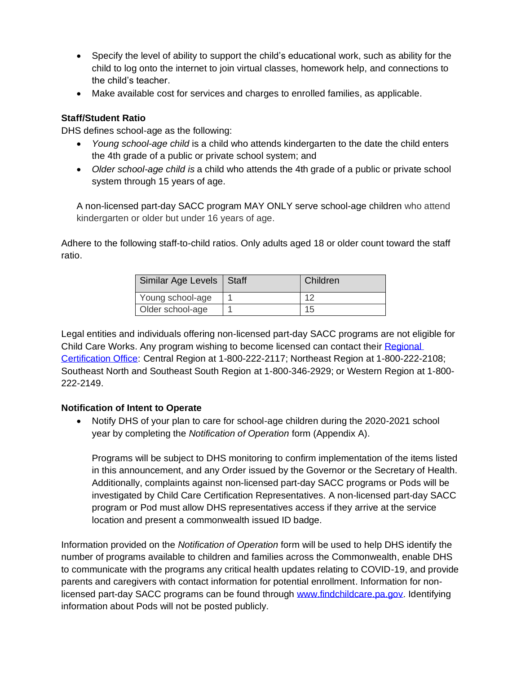- Specify the level of ability to support the child's educational work, such as ability for the child to log onto the internet to join virtual classes, homework help, and connections to the child's teacher.
- Make available cost for services and charges to enrolled families, as applicable.

#### **Staff/Student Ratio**

DHS defines school-age as the following:

- *Young school-age child* is a child who attends kindergarten to the date the child enters the 4th grade of a public or private school system; and
- *Older school-age child is* a child who attends the 4th grade of a public or private school system through 15 years of age.

A non-licensed part-day SACC program MAY ONLY serve school-age children who attend kindergarten or older but under 16 years of age.

Adhere to the following staff-to-child ratios. Only adults aged 18 or older count toward the staff ratio.

| Similar Age Levels   Staff | Children |
|----------------------------|----------|
| Young school-age           |          |
| Older school-age           |          |

Legal entities and individuals offering non-licensed part-day SACC programs are not eligible for Child Care Works. Any program wishing to become licensed can contact their Regional [Certification Office:](http://files.constantcontact.com/3e3d36fe201/46f78a7b-2a60-49c6-ba2c-9256fc80e963.pdf) Central Region at 1-800-222-2117; Northeast Region at 1-800-222-2108; Southeast North and Southeast South Region at 1-800-346-2929; or Western Region at 1-800- 222-2149.

#### **Notification of Intent to Operate**

• Notify DHS of your plan to care for school-age children during the 2020-2021 school year by completing the *Notification of Operation* form (Appendix A).

Programs will be subject to DHS monitoring to confirm implementation of the items listed in this announcement, and any Order issued by the Governor or the Secretary of Health. Additionally, complaints against non-licensed part-day SACC programs or Pods will be investigated by Child Care Certification Representatives. A non-licensed part-day SACC program or Pod must allow DHS representatives access if they arrive at the service location and present a commonwealth issued ID badge.

Information provided on the *Notification of Operation* form will be used to help DHS identify the number of programs available to children and families across the Commonwealth, enable DHS to communicate with the programs any critical health updates relating to COVID-19, and provide parents and caregivers with contact information for potential enrollment. Information for nonlicensed part-day SACC programs can be found through [www.findchildcare.pa.gov.](http://www.findchildcare.pa.gov/) Identifying information about Pods will not be posted publicly.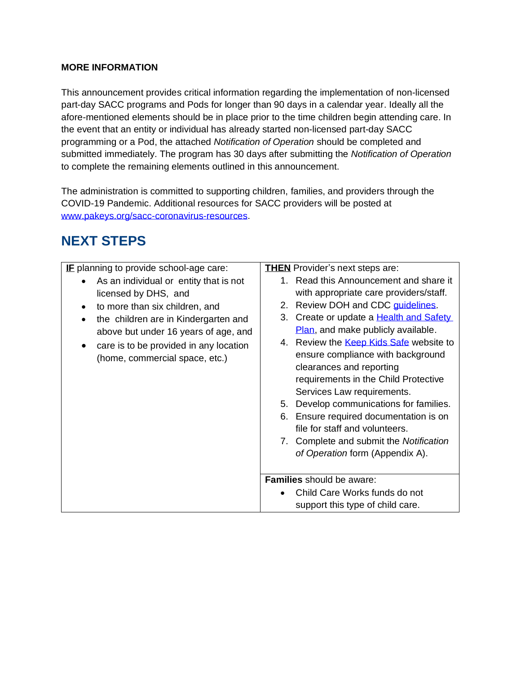#### **MORE INFORMATION**

This announcement provides critical information regarding the implementation of non-licensed part-day SACC programs and Pods for longer than 90 days in a calendar year. Ideally all the afore-mentioned elements should be in place prior to the time children begin attending care. In the event that an entity or individual has already started non-licensed part-day SACC programming or a Pod, the attached *Notification of Operation* should be completed and submitted immediately. The program has 30 days after submitting the *Notification of Operation* to complete the remaining elements outlined in this announcement.

The administration is committed to supporting children, families, and providers through the COVID-19 Pandemic. Additional resources for SACC providers will be posted at [www.pakeys.org/sacc-coronavirus-resources.](http://www.pakeys.org/sacc-coronavirus-resources)

# **NEXT STEPS**

| IE planning to provide school-age care:                                                                                                                                                                                                                                                | <b>THEN</b> Provider's next steps are:                                                                                                                                                                                                                                                                 |  |
|----------------------------------------------------------------------------------------------------------------------------------------------------------------------------------------------------------------------------------------------------------------------------------------|--------------------------------------------------------------------------------------------------------------------------------------------------------------------------------------------------------------------------------------------------------------------------------------------------------|--|
| As an individual or entity that is not<br>$\bullet$<br>licensed by DHS, and<br>to more than six children, and<br>$\bullet$<br>the children are in Kindergarten and<br>above but under 16 years of age, and<br>care is to be provided in any location<br>(home, commercial space, etc.) | 1. Read this Announcement and share it<br>with appropriate care providers/staff.<br>2. Review DOH and CDC guidelines.<br>3. Create or update a <b>Health and Safety</b><br>Plan, and make publicly available.<br>4. Review the <b>Keep Kids Safe</b> website to<br>ensure compliance with background   |  |
|                                                                                                                                                                                                                                                                                        | clearances and reporting<br>requirements in the Child Protective<br>Services Law requirements.<br>Develop communications for families.<br>5.<br>6. Ensure required documentation is on<br>file for staff and volunteers.<br>7. Complete and submit the Notification<br>of Operation form (Appendix A). |  |
|                                                                                                                                                                                                                                                                                        | <b>Families</b> should be aware:                                                                                                                                                                                                                                                                       |  |
|                                                                                                                                                                                                                                                                                        | Child Care Works funds do not<br>$\bullet$<br>support this type of child care.                                                                                                                                                                                                                         |  |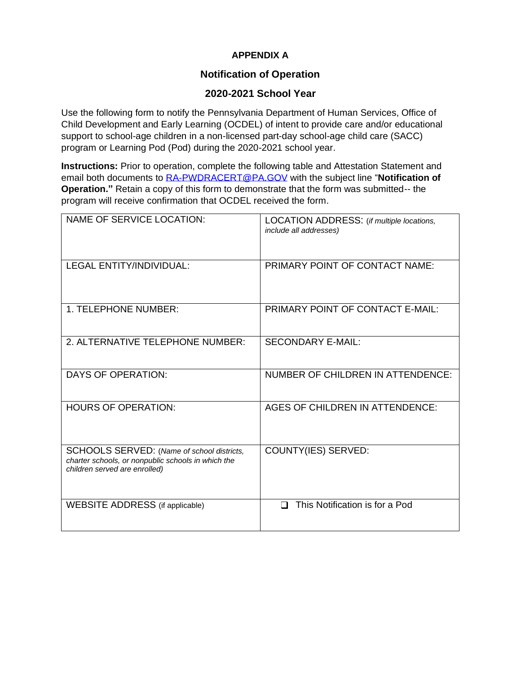## **APPENDIX A**

### **Notification of Operation**

### **2020-2021 School Year**

Use the following form to notify the Pennsylvania Department of Human Services, Office of Child Development and Early Learning (OCDEL) of intent to provide care and/or educational support to school-age children in a non-licensed part-day school-age child care (SACC) program or Learning Pod (Pod) during the 2020-2021 school year.

**Instructions:** Prior to operation, complete the following table and Attestation Statement and email both documents to [RA-PWDRACERT@PA.GOV](mailto:RA-PWDRACERT@PA.GOV) with the subject line "**Notification of Operation."** Retain a copy of this form to demonstrate that the form was submitted-- the program will receive confirmation that OCDEL received the form.

| <b>NAME OF SERVICE LOCATION:</b>                                                                                                  | LOCATION ADDRESS: (if multiple locations,<br><i>include all addresses)</i> |
|-----------------------------------------------------------------------------------------------------------------------------------|----------------------------------------------------------------------------|
| <b>LEGAL ENTITY/INDIVIDUAL:</b>                                                                                                   | PRIMARY POINT OF CONTACT NAME:                                             |
| 1. TELEPHONE NUMBER:                                                                                                              | PRIMARY POINT OF CONTACT E-MAIL:                                           |
| 2. ALTERNATIVE TELEPHONE NUMBER:                                                                                                  | <b>SECONDARY E-MAIL:</b>                                                   |
| DAYS OF OPERATION:                                                                                                                | NUMBER OF CHILDREN IN ATTENDENCE:                                          |
| <b>HOURS OF OPERATION:</b>                                                                                                        | <b>AGES OF CHILDREN IN ATTENDENCE:</b>                                     |
| SCHOOLS SERVED: (Name of school districts,<br>charter schools, or nonpublic schools in which the<br>children served are enrolled) | COUNTY(IES) SERVED:                                                        |
| WEBSITE ADDRESS (if applicable)                                                                                                   | This Notification is for a Pod                                             |